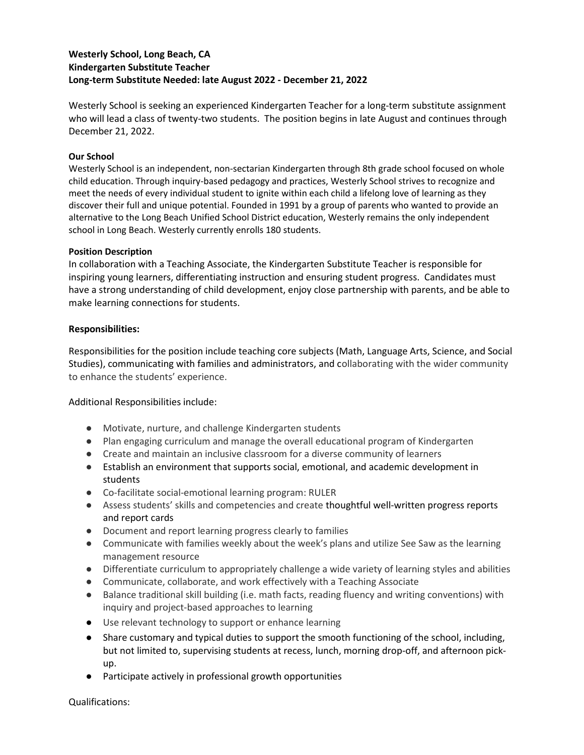## Westerly School, Long Beach, CA Kindergarten Substitute Teacher Long-term Substitute Needed: late August 2022 - December 21, 2022

Westerly School is seeking an experienced Kindergarten Teacher for a long-term substitute assignment who will lead a class of twenty-two students. The position begins in late August and continues through December 21, 2022.

## Our School

Westerly School is an independent, non-sectarian Kindergarten through 8th grade school focused on whole child education. Through inquiry-based pedagogy and practices, Westerly School strives to recognize and meet the needs of every individual student to ignite within each child a lifelong love of learning as they discover their full and unique potential. Founded in 1991 by a group of parents who wanted to provide an alternative to the Long Beach Unified School District education, Westerly remains the only independent school in Long Beach. Westerly currently enrolls 180 students.

## Position Description

In collaboration with a Teaching Associate, the Kindergarten Substitute Teacher is responsible for inspiring young learners, differentiating instruction and ensuring student progress. Candidates must have a strong understanding of child development, enjoy close partnership with parents, and be able to make learning connections for students.

## Responsibilities:

Responsibilities for the position include teaching core subjects (Math, Language Arts, Science, and Social Studies), communicating with families and administrators, and collaborating with the wider community to enhance the students' experience.

Additional Responsibilities include:

- Motivate, nurture, and challenge Kindergarten students
- Plan engaging curriculum and manage the overall educational program of Kindergarten
- Create and maintain an inclusive classroom for a diverse community of learners
- Establish an environment that supports social, emotional, and academic development in students
- Co-facilitate social-emotional learning program: RULER
- Assess students' skills and competencies and create thoughtful well-written progress reports and report cards
- Document and report learning progress clearly to families
- Communicate with families weekly about the week's plans and utilize See Saw as the learning management resource
- Differentiate curriculum to appropriately challenge a wide variety of learning styles and abilities
- Communicate, collaborate, and work effectively with a Teaching Associate
- Balance traditional skill building (i.e. math facts, reading fluency and writing conventions) with inquiry and project-based approaches to learning
- Use relevant technology to support or enhance learning
- Share customary and typical duties to support the smooth functioning of the school, including, but not limited to, supervising students at recess, lunch, morning drop-off, and afternoon pickup.
- Participate actively in professional growth opportunities

Qualifications: